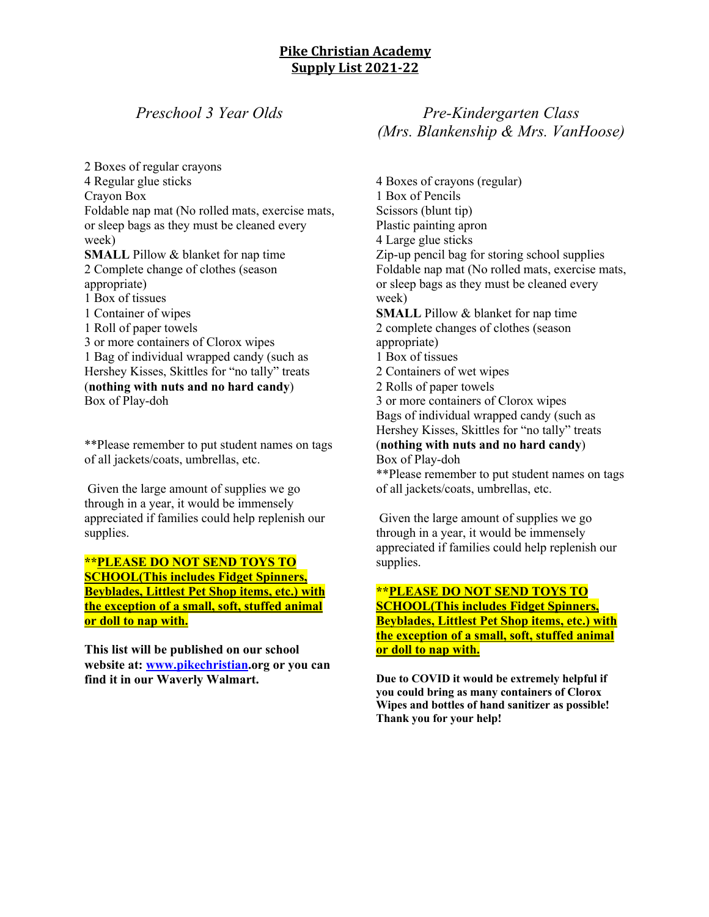### **Pike Christian Academy Supply List 2021-22**

## *Preschool 3 Year Olds*

2 Boxes of regular crayons 4 Regular glue sticks Crayon Box Foldable nap mat (No rolled mats, exercise mats, or sleep bags as they must be cleaned every week) **SMALL** Pillow & blanket for nap time 2 Complete change of clothes (season appropriate) 1 Box of tissues 1 Container of wipes 1 Roll of paper towels 3 or more containers of Clorox wipes 1 Bag of individual wrapped candy (such as Hershey Kisses, Skittles for "no tally" treats (**nothing with nuts and no hard candy**) Box of Play-doh

\*\*Please remember to put student names on tags of all jackets/coats, umbrellas, etc.

Given the large amount of supplies we go through in a year, it would be immensely appreciated if families could help replenish our supplies.

**\*\*PLEASE DO NOT SEND TOYS TO SCHOOL(This includes Fidget Spinners, Beyblades, Littlest Pet Shop items, etc.) with the exception of a small, soft, stuffed animal or doll to nap with.**

**This list will be published on our school website at: www.pikechristian.org or you can find it in our Waverly Walmart.** 

## *Pre-Kindergarten Class (Mrs. Blankenship & Mrs. VanHoose)*

4 Boxes of crayons (regular) 1 Box of Pencils Scissors (blunt tip) Plastic painting apron 4 Large glue sticks Zip-up pencil bag for storing school supplies Foldable nap mat (No rolled mats, exercise mats, or sleep bags as they must be cleaned every week) **SMALL** Pillow & blanket for nap time 2 complete changes of clothes (season appropriate) 1 Box of tissues 2 Containers of wet wipes 2 Rolls of paper towels 3 or more containers of Clorox wipes Bags of individual wrapped candy (such as Hershey Kisses, Skittles for "no tally" treats (**nothing with nuts and no hard candy**) Box of Play-doh \*\*Please remember to put student names on tags of all jackets/coats, umbrellas, etc.

Given the large amount of supplies we go through in a year, it would be immensely appreciated if families could help replenish our supplies.

#### **\*\*PLEASE DO NOT SEND TOYS TO SCHOOL(This includes Fidget Spinners, Beyblades, Littlest Pet Shop items, etc.) with the exception of a small, soft, stuffed animal or doll to nap with.**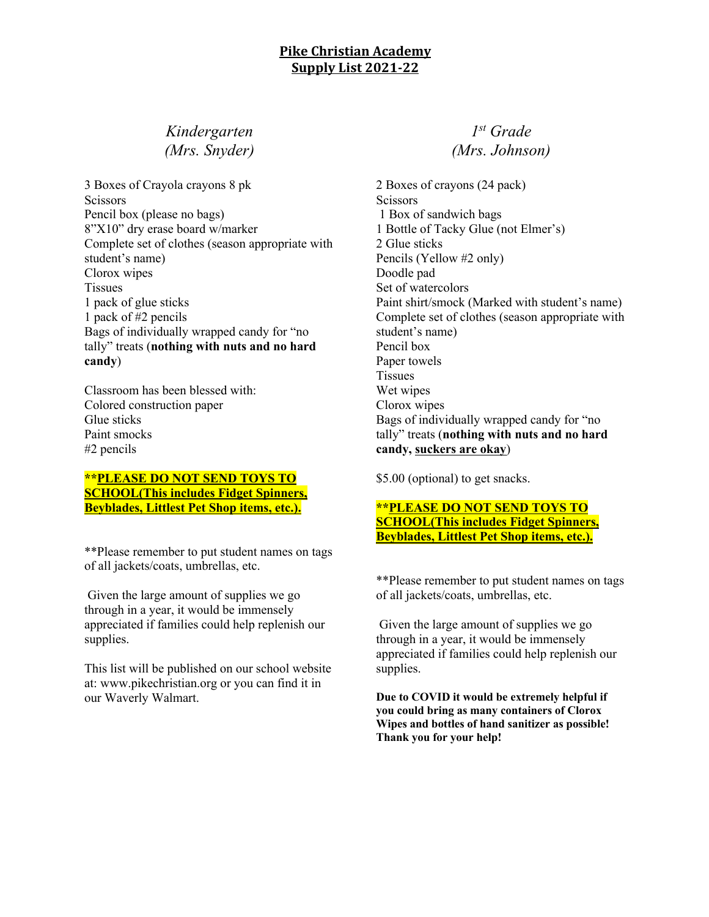### **Pike Christian Academy Supply List 2021-22**

# *Kindergarten (Mrs. Snyder)*

3 Boxes of Crayola crayons 8 pk **Scissors** Pencil box (please no bags) 8"X10" dry erase board w/marker Complete set of clothes (season appropriate with student's name) Clorox wipes Tissues 1 pack of glue sticks 1 pack of #2 pencils Bags of individually wrapped candy for "no tally" treats (**nothing with nuts and no hard candy**)

Classroom has been blessed with: Colored construction paper Glue sticks Paint smocks #2 pencils

#### **\*\*PLEASE DO NOT SEND TOYS TO SCHOOL(This includes Fidget Spinners, Beyblades, Littlest Pet Shop items, etc.).**

\*\*Please remember to put student names on tags of all jackets/coats, umbrellas, etc.

Given the large amount of supplies we go through in a year, it would be immensely appreciated if families could help replenish our supplies.

This list will be published on our school website at: www.pikechristian.org or you can find it in our Waverly Walmart.

## *1st Grade (Mrs. Johnson)*

2 Boxes of crayons (24 pack) **Scissors** 1 Box of sandwich bags 1 Bottle of Tacky Glue (not Elmer's) 2 Glue sticks Pencils (Yellow #2 only) Doodle pad Set of watercolors Paint shirt/smock (Marked with student's name) Complete set of clothes (season appropriate with student's name) Pencil box Paper towels Tissues Wet wipes Clorox wipes Bags of individually wrapped candy for "no tally" treats (**nothing with nuts and no hard candy, suckers are okay**)

\$5.00 (optional) to get snacks.

#### **\*\*PLEASE DO NOT SEND TOYS TO SCHOOL(This includes Fidget Spinners, Beyblades, Littlest Pet Shop items, etc.).**

\*\*Please remember to put student names on tags of all jackets/coats, umbrellas, etc.

Given the large amount of supplies we go through in a year, it would be immensely appreciated if families could help replenish our supplies.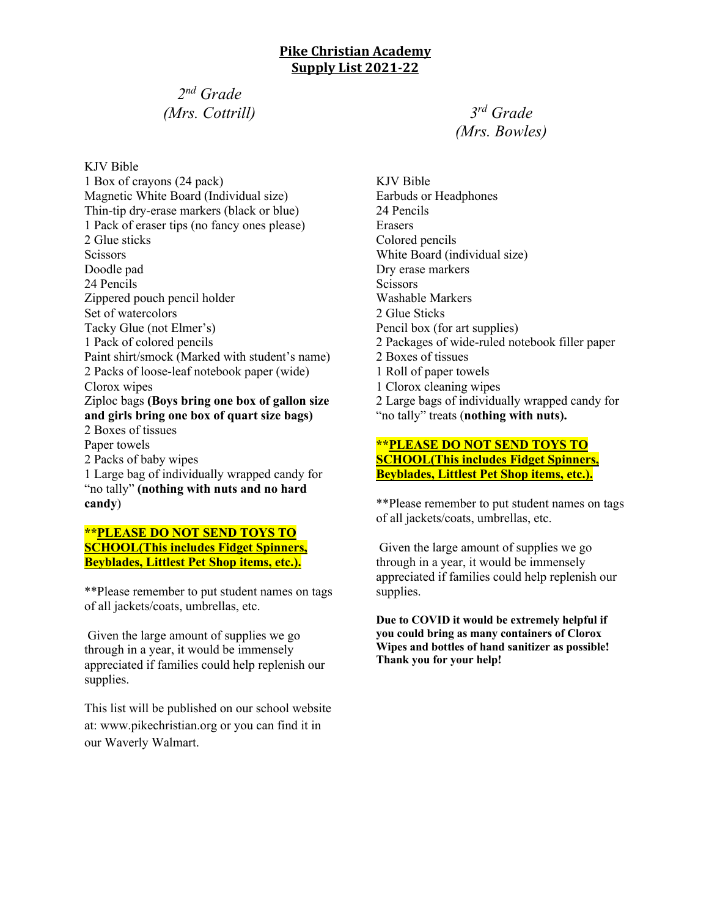# *2nd Grade (Mrs. Cottrill)*

KJV Bible 1 Box of crayons (24 pack) Magnetic White Board (Individual size) Thin-tip dry-erase markers (black or blue) 1 Pack of eraser tips (no fancy ones please) 2 Glue sticks **Scissors** Doodle pad 24 Pencils Zippered pouch pencil holder Set of watercolors Tacky Glue (not Elmer's) 1 Pack of colored pencils Paint shirt/smock (Marked with student's name) 2 Packs of loose-leaf notebook paper (wide) Clorox wipes Ziploc bags **(Boys bring one box of gallon size and girls bring one box of quart size bags)** 2 Boxes of tissues Paper towels 2 Packs of baby wipes 1 Large bag of individually wrapped candy for "no tally" **(nothing with nuts and no hard candy**)

#### **\*\*PLEASE DO NOT SEND TOYS TO SCHOOL(This includes Fidget Spinners, Beyblades, Littlest Pet Shop items, etc.).**

\*\*Please remember to put student names on tags of all jackets/coats, umbrellas, etc.

Given the large amount of supplies we go through in a year, it would be immensely appreciated if families could help replenish our supplies.

This list will be published on our school website at: www.pikechristian.org or you can find it in our Waverly Walmart.

*3rd Grade (Mrs. Bowles)*

KJV Bible Earbuds or Headphones 24 Pencils Erasers Colored pencils White Board (individual size) Dry erase markers **Scissors** Washable Markers 2 Glue Sticks Pencil box (for art supplies) 2 Packages of wide-ruled notebook filler paper 2 Boxes of tissues 1 Roll of paper towels 1 Clorox cleaning wipes 2 Large bags of individually wrapped candy for "no tally" treats (**nothing with nuts).**

#### **\*\*PLEASE DO NOT SEND TOYS TO SCHOOL(This includes Fidget Spinners, Beyblades, Littlest Pet Shop items, etc.).**

\*\*Please remember to put student names on tags of all jackets/coats, umbrellas, etc.

Given the large amount of supplies we go through in a year, it would be immensely appreciated if families could help replenish our supplies.